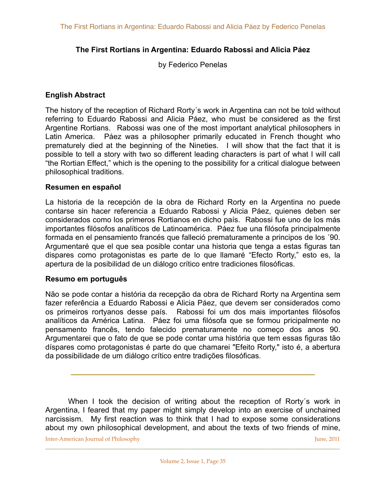# **The First Rortians in Argentina: Eduardo Rabossi and Alicia Páez**

by Federico Penelas

## **English Abstract**

The history of the reception of Richard Rorty´s work in Argentina can not be told without referring to Eduardo Rabossi and Alicia Páez, who must be considered as the first Argentine Rortians. Rabossi was one of the most important analytical philosophers in Latin America. Páez was a philosopher primarily educated in French thought who prematurely died at the beginning of the Nineties. I will show that the fact that it is possible to tell a story with two so different leading characters is part of what I will call "the Rortian Effect," which is the opening to the possibility for a critical dialogue between philosophical traditions.

#### **Resumen en español**

La historia de la recepción de la obra de Richard Rorty en la Argentina no puede contarse sin hacer referencia a Eduardo Rabossi y Alicia Páez, quienes deben ser considerados como los primeros Rortianos en dicho país. Rabossi fue uno de los más importantes filósofos analíticos de Latinoamérica. Páez fue una filósofa principalmente formada en el pensamiento francés que falleció prematuramente a principos de los ´90. Argumentaré que el que sea posible contar una historia que tenga a estas figuras tan dispares como protagonistas es parte de lo que llamaré "Efecto Rorty," esto es, la apertura de la posibilidad de un diálogo crítico entre tradiciones filosóficas.

#### **Resumo em português**

Não se pode contar a história da recepção da obra de Richard Rorty na Argentina sem fazer referência a Eduardo Rabossi e Alicia Páez, que devem ser considerados como os primeiros rortyanos desse país. Rabossi foi um dos mais importantes filósofos analíticos da América Latina. Páez foi uma filósofa que se formou pricipalmente no pensamento francês, tendo falecido prematuramente no começo dos anos 90. Argumentarei que o fato de que se pode contar uma história que tem essas figuras tão díspares como protagonistas é parte do que chamarei "Efeito Rorty," isto é, a abertura da possibilidade de um diálogo crítico entre tradições filosóficas.

When I took the decision of writing about the reception of Rorty's work in Argentina, I feared that my paper might simply develop into an exercise of unchained narcissism. My first reaction was to think that I had to expose some considerations about my own philosophical development, and about the texts of two friends of mine,

**\_\_\_\_\_\_\_\_\_\_\_\_\_\_\_\_\_\_\_\_\_\_\_\_\_\_\_\_\_\_\_\_\_\_\_\_\_\_\_\_\_\_\_\_\_\_\_\_\_\_\_\_\_\_\_\_\_\_**

Inter-American Journal of Philosophy *Imperial Company* 1 | *June*, 2011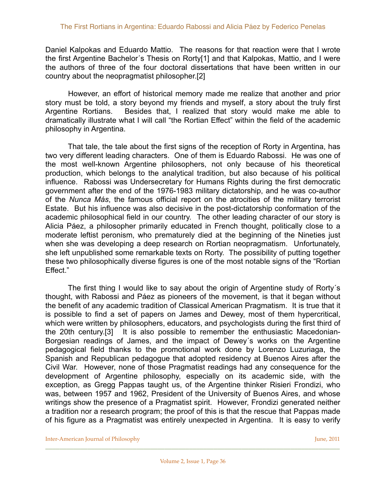Daniel Kalpokas and Eduardo Mattio. The reasons for that reaction were that I wrote the first Argentine Bachelor´s Thesis on Rorty[1] and that Kalpokas, Mattio, and I were the authors of three of the four doctoral dissertations that have been written in our country about the neopragmatist philosopher.[2]

 However, an effort of historical memory made me realize that another and prior story must be told, a story beyond my friends and myself, a story about the truly first Argentine Rortians. Besides that, I realized that story would make me able to dramatically illustrate what I will call "the Rortian Effect" within the field of the academic philosophy in Argentina.

 That tale, the tale about the first signs of the reception of Rorty in Argentina, has two very different leading characters. One of them is Eduardo Rabossi. He was one of the most well-known Argentine philosophers, not only because of his theoretical production, which belongs to the analytical tradition, but also because of his political influence. Rabossi was Undersecretary for Humans Rights during the first democratic government after the end of the 1976-1983 military dictatorship, and he was co-author of the *Nunca Más*, the famous official report on the atrocities of the military terrorist Estate. But his influence was also decisive in the post-dictatorship conformation of the academic philosophical field in our country. The other leading character of our story is Alicia Páez, a philosopher primarily educated in French thought, politically close to a moderate leftist peronism, who prematurely died at the beginning of the Nineties just when she was developing a deep research on Rortian neopragmatism. Unfortunately, she left unpublished some remarkable texts on Rorty. The possibility of putting together these two philosophically diverse figures is one of the most notable signs of the "Rortian Effect."

 The first thing I would like to say about the origin of Argentine study of Rorty´s thought, with Rabossi and Páez as pioneers of the movement, is that it began without the benefit of any academic tradition of Classical American Pragmatism. It is true that it is possible to find a set of papers on James and Dewey, most of them hypercritical, which were written by philosophers, educators, and psychologists during the first third of the 20th century.[3] It is also possible to remember the enthusiastic Macedonian-Borgesian readings of James, and the impact of Dewey´s works on the Argentine pedagogical field thanks to the promotional work done by Lorenzo Luzuriaga, the Spanish and Republican pedagogue that adopted residency at Buenos Aires after the Civil War. However, none of those Pragmatist readings had any consequence for the development of Argentine philosophy, especially on its academic side, with the exception, as Gregg Pappas taught us, of the Argentine thinker Risieri Frondizi, who was, between 1957 and 1962, President of the University of Buenos Aires, and whose writings show the presence of a Pragmatist spirit. However, Frondizi generated neither a tradition nor a research program; the proof of this is that the rescue that Pappas made of his figure as a Pragmatist was entirely unexpected in Argentina. It is easy to verify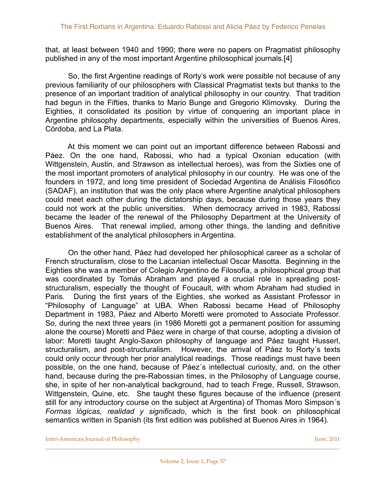that, at least between 1940 and 1990; there were no papers on Pragmatist philosophy published in any of the most important Argentine philosophical journals.[4]

 So, the first Argentine readings of Rorty's work were possible not because of any previous familiarity of our philosophers with Classical Pragmatist texts but thanks to the presence of an important tradition of analytical philosophy in our country. That tradition had begun in the Fifties, thanks to Mario Bunge and Gregorio Klimovsky. During the Eighties, it consolidated its position by virtue of conquering an important place in Argentine philosophy departments, especially within the universities of Buenos Aires, Córdoba, and La Plata.

 At this moment we can point out an important difference between Rabossi and Páez. On the one hand, Rabossi, who had a typical Oxonian education (with Wittgenstein, Austin, and Strawson as intellectual heroes), was from the Sixties one of the most important promoters of analytical philosophy in our country. He was one of the founders in 1972, and long time president of Sociedad Argentina de Análisis Filosófico (SADAF), an institution that was the only place where Argentine analytical philosophers could meet each other during the dictatorship days, because during those years they could not work at the public universities. When democracy arrived in 1983, Rabossi became the leader of the renewal of the Philosophy Department at the University of Buenos Aires. That renewal implied, among other things, the landing and definitive establishment of the analytical philosophers in Argentina.

 On the other hand, Páez had developed her philosophical career as a scholar of French structuralism, close to the Lacanian intellectual Oscar Masotta. Beginning in the Eighties she was a member of Colegio Argentino de Filosofía, a philosophical group that was coordinated by Tomás Abraham and played a crucial role in spreading poststructuralism, especially the thought of Foucault, with whom Abraham had studied in Paris. During the first years of the Eighties, she worked as Assistant Professor in "Philosophy of Language" at UBA. When Rabossi became Head of Philosophy Department in 1983, Páez and Alberto Moretti were promoted to Associate Professor. So, during the next three years (in 1986 Moretti got a permanent position for assuming alone the course) Moretti and Páez were in charge of that course, adopting a division of labor: Moretti taught Anglo-Saxon philosophy of language and Páez taught Husserl, structuralism, and post-structuralism. However, the arrival of Páez to Rorty´s texts could only occur through her prior analytical readings. Those readings must have been possible, on the one hand, because of Páez´s intellectual curiosity, and, on the other hand, because during the pre-Rabossian times, in the Philosophy of Language course, she, in spite of her non-analytical background, had to teach Frege, Russell, Strawson, Wittgenstein, Quine, etc. She taught these figures because of the influence (present still for any introductory course on the subject at Argentina) of Thomas Moro Simpson´s *Formas lógicas, realidad y significado*, which is the first book on philosophical semantics written in Spanish (its first edition was published at Buenos Aires in 1964).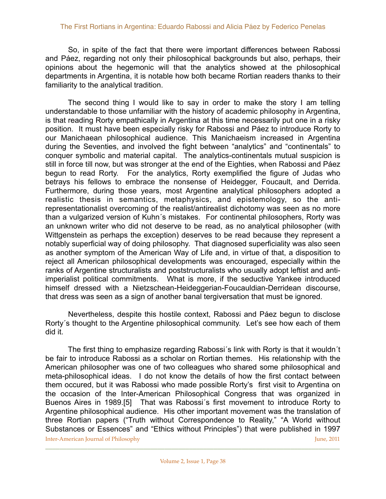So, in spite of the fact that there were important differences between Rabossi and Páez, regarding not only their philosophical backgrounds but also, perhaps, their opinions about the hegemonic will that the analytics showed at the philosophical departments in Argentina, it is notable how both became Rortian readers thanks to their familiarity to the analytical tradition.

 The second thing I would like to say in order to make the story I am telling understandable to those unfamiliar with the history of academic philosophy in Argentina, is that reading Rorty empathically in Argentina at this time necessarily put one in a risky position. It must have been especially risky for Rabossi and Páez to introduce Rorty to our Manichaean philosophical audience. This Manichaeism increased in Argentina during the Seventies, and involved the fight between "analytics" and "continentals" to conquer symbolic and material capital. The analytics-continentals mutual suspicion is still in force till now, but was stronger at the end of the Eighties, when Rabossi and Páez begun to read Rorty. For the analytics, Rorty exemplified the figure of Judas who betrays his fellows to embrace the nonsense of Heidegger, Foucault, and Derrida. Furthermore, during those years, most Argentine analytical philosophers adopted a realistic thesis in semantics, metaphysics, and epistemology, so the antirepresentationalist overcoming of the realist/antirealist dichotomy was seen as no more than a vulgarized version of Kuhn´s mistakes. For continental philosophers, Rorty was an unknown writer who did not deserve to be read, as no analytical philosopher (with Wittgenstein as perhaps the exception) deserves to be read because they represent a notably superficial way of doing philosophy. That diagnosed superficiality was also seen as another symptom of the American Way of Life and, in virtue of that, a disposition to reject all American philosophical developments was encouraged, especially within the ranks of Argentine structuralists and poststructuralists who usually adopt leftist and antiimperialist political commitments. What is more, if the seductive Yankee introduced himself dressed with a Nietzschean-Heideggerian-Foucauldian-Derridean discourse, that dress was seen as a sign of another banal tergiversation that must be ignored.

 Nevertheless, despite this hostile context, Rabossi and Páez begun to disclose Rorty´s thought to the Argentine philosophical community. Let's see how each of them did it.

 The first thing to emphasize regarding Rabossi´s link with Rorty is that it wouldn´t be fair to introduce Rabossi as a scholar on Rortian themes. His relationship with the American philosopher was one of two colleagues who shared some philosophical and meta-philosophical ideas. I do not know the details of how the first contact between them occured, but it was Rabossi who made possible Rorty's first visit to Argentina on the occasion of the Inter-American Philosophical Congress that was organized in Buenos Aires in 1989.[5] That was Rabossi´s first movement to introduce Rorty to Argentine philosophical audience. His other important movement was the translation of three Rortian papers ("Truth without Correspondence to Reality," "A World without Substances or Essences" and "Ethics without Principles") that were published in 1997 Inter-American Journal of Philosophy *Inter-American Journal of Philosophy June, 2011*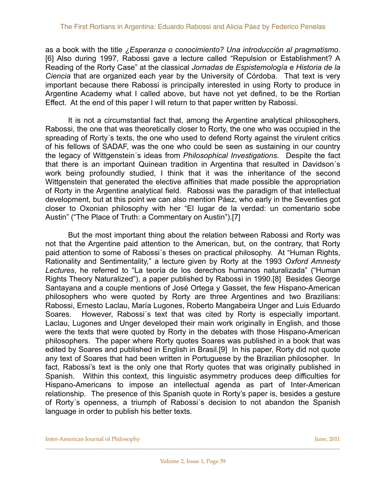as a book with the title *¿Esperanza o conocimiento? Una introducción al pragmatismo*. [6] Also during 1997, Rabossi gave a lecture called "Repulsion or Establishment? A Reading of the Rorty Case" at the classical *Jornadas de Espistemología e Historia de la Ciencia* that are organized each year by the University of Córdoba. That text is very important because there Rabossi is principally interested in using Rorty to produce in Argentine Academy what I called above, but have not yet defined, to be the Rortian Effect. At the end of this paper I will return to that paper written by Rabossi.

 It is not a circumstantial fact that, among the Argentine analytical philosophers, Rabossi, the one that was theoretically closer to Rorty, the one who was occupied in the spreading of Rorty´s texts, the one who used to defend Rorty against the virulent critics of his fellows of SADAF, was the one who could be seen as sustaining in our country the legacy of Wittgenstein´s ideas from *Philosophical Investigations*. Despite the fact that there is an important Quinean tradition in Argentina that resulted in Davidson´s work being profoundly studied, I think that it was the inheritance of the second Wittgenstein that generated the elective affinities that made possible the appropriation of Rorty in the Argentine analytical field. Rabossi was the paradigm of that intellectual development, but at this point we can also mention Páez, who early in the Seventies got closer to Oxonian philosophy with her "El lugar de la verdad: un comentario sobe Austin" ("The Place of Truth: a Commentary on Austin").[7]

 But the most important thing about the relation between Rabossi and Rorty was not that the Argentine paid attention to the American, but, on the contrary, that Rorty paid attention to some of Rabossi´s theses on practical philosophy. At "Human Rights, Rationality and Sentimentality," a lecture given by Rorty at the 1993 *Oxford Amnesty Lectures*, he referred to "La teoría de los derechos humanos naturalizada" ("Human Rights Theory Naturalized"), a paper published by Rabossi in 1990.[8] Besides George Santayana and a couple mentions of José Ortega y Gasset, the few Hispano-American philosophers who were quoted by Rorty are three Argentines and two Brazilians: Rabossi, Ernesto Laclau, María Lugones, Roberto Mangabeira Unger and Luis Eduardo Soares. However, Rabossi´s text that was cited by Rorty is especially important. Laclau, Lugones and Unger developed their main work originally in English, and those were the texts that were quoted by Rorty in the debates with those Hispano-American philosophers. The paper where Rorty quotes Soares was published in a book that was edited by Soares and published in English in Brasil.[9] In his paper, Rorty did not quote any text of Soares that had been written in Portuguese by the Brazilian philosopher. In fact, Rabossi's text is the only one that Rorty quotes that was originally published in Spanish. Within this context, this linguistic asymmetry produces deep difficulties for Hispano-Americans to impose an intellectual agenda as part of Inter-American relationship. The presence of this Spanish quote in Rorty's paper is, besides a gesture of Rorty´s openness, a triumph of Rabossi´s decision to not abandon the Spanish language in order to publish his better texts.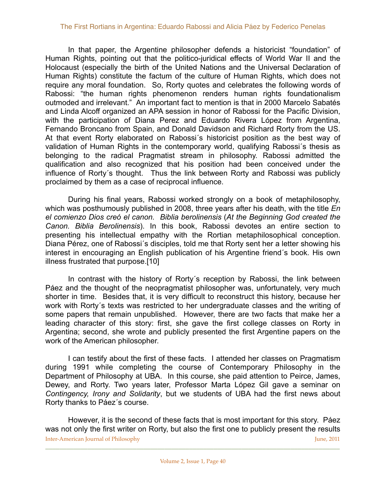In that paper, the Argentine philosopher defends a historicist "foundation" of Human Rights, pointing out that the politico-juridical effects of World War II and the Holocaust (especially the birth of the United Nations and the Universal Declaration of Human Rights) constitute the factum of the culture of Human Rights, which does not require any moral foundation. So, Rorty quotes and celebrates the following words of Rabossi: "the human rights phenomenon renders human rights foundationalism outmoded and irrelevant." An important fact to mention is that in 2000 Marcelo Sabatés and Linda Alcoff organized an APA session in honor of Rabossi for the Pacific Division, with the participation of Diana Perez and Eduardo Rivera López from Argentina, Fernando Broncano from Spain, and Donald Davidson and Richard Rorty from the US. At that event Rorty elaborated on Rabossi´s historicist position as the best way of validation of Human Rights in the contemporary world, qualifying Rabossi´s thesis as belonging to the radical Pragmatist stream in philosophy. Rabossi admitted the qualification and also recognized that his position had been conceived under the influence of Rorty´s thought. Thus the link between Rorty and Rabossi was publicly proclaimed by them as a case of reciprocal influence.

 During his final years, Rabossi worked strongly on a book of metaphilosophy, which was posthumously published in 2008, three years after his death, with the title *En el comienzo Dios creó el canon. Biblia berolinensis* (*At the Beginning God created the Canon. Biblia Berolinensis*). In this book, Rabossi devotes an entire section to presenting his intellectual empathy with the Rortian metaphilosophical conception. Diana Pérez, one of Rabossi´s disciples, told me that Rorty sent her a letter showing his interest in encouraging an English publication of his Argentine friend´s book. His own illness frustrated that purpose.[10]

 In contrast with the history of Rorty´s reception by Rabossi, the link between Páez and the thought of the neopragmatist philosopher was, unfortunately, very much shorter in time. Besides that, it is very difficult to reconstruct this history, because her work with Rorty´s texts was restricted to her undergraduate classes and the writing of some papers that remain unpublished. However, there are two facts that make her a leading character of this story: first, she gave the first college classes on Rorty in Argentina; second, she wrote and publicly presented the first Argentine papers on the work of the American philosopher.

 I can testify about the first of these facts. I attended her classes on Pragmatism during 1991 while completing the course of Contemporary Philosophy in the Department of Philosophy at UBA. In this course, she paid attention to Peirce, James, Dewey, and Rorty. Two years later, Professor Marta López Gil gave a seminar on *Contingency, Irony and Solidarity*, but we students of UBA had the first news about Rorty thanks to Páez´s course.

 However, it is the second of these facts that is most important for this story. Páez was not only the first writer on Rorty, but also the first one to publicly present the results Inter-American Journal of Philosophy *Ime, 2011* **Ime, 2011**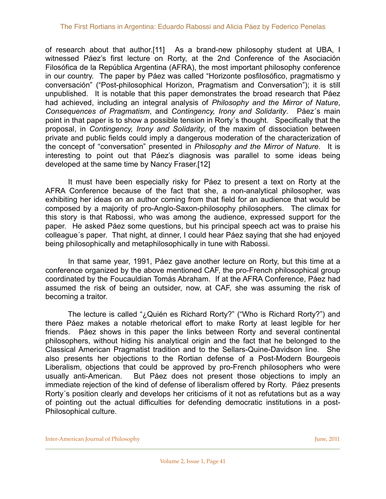of research about that author.[11] As a brand-new philosophy student at UBA, I witnessed Páez's first lecture on Rorty, at the 2nd Conference of the Asociación Filosófica de la República Argentina (AFRA), the most important philosophy conference in our country. The paper by Páez was called "Horizonte posfilosófico, pragmatismo y conversación" ("Post-philosophical Horizon, Pragmatism and Conversation"); it is still unpublished. It is notable that this paper demonstrates the broad research that Páez had achieved, including an integral analysis of *Philosophy and the Mirror of Nature*, *Consequences of Pragmatism*, and *Contingency, Irony and Solidarity*. Páez´s main point in that paper is to show a possible tension in Rorty´s thought. Specifically that the proposal, in *Contingency, Irony and Solidarity*, of the maxim of dissociation between private and public fields could imply a dangerous moderation of the characterization of the concept of "conversation" presented in *Philosophy and the Mirror of Nature*. It is interesting to point out that Páez's diagnosis was parallel to some ideas being developed at the same time by Nancy Fraser.[12]

 It must have been especially risky for Páez to present a text on Rorty at the AFRA Conference because of the fact that she, a non-analytical philosopher, was exhibiting her ideas on an author coming from that field for an audience that would be composed by a majority of pro-Anglo-Saxon-philosophy philosophers. The climax for this story is that Rabossi, who was among the audience, expressed support for the paper. He asked Páez some questions, but his principal speech act was to praise his colleague´s paper. That night, at dinner, I could hear Páez saying that she had enjoyed being philosophically and metaphilosophically in tune with Rabossi.

 In that same year, 1991, Páez gave another lecture on Rorty, but this time at a conference organized by the above mentioned CAF, the pro-French philosophical group coordinated by the Foucauldian Tomás Abraham. If at the AFRA Conference, Páez had assumed the risk of being an outsider, now, at CAF, she was assuming the risk of becoming a traitor.

 The lecture is called "¿Quién es Richard Rorty?" ("Who is Richard Rorty?") and there Páez makes a notable rhetorical effort to make Rorty at least legible for her friends. Páez shows in this paper the links between Rorty and several continental philosophers, without hiding his analytical origin and the fact that he belonged to the Classical American Pragmatist tradition and to the Sellars-Quine-Davidson line. She also presents her objections to the Rortian defense of a Post-Modern Bourgeois Liberalism, objections that could be approved by pro-French philosophers who were usually anti-American. But Páez does not present those objections to imply an immediate rejection of the kind of defense of liberalism offered by Rorty. Páez presents Rorty´s position clearly and develops her criticisms of it not as refutations but as a way of pointing out the actual difficulties for defending democratic institutions in a post-Philosophical culture.

Inter-American Journal of Philosophy *June, 2011 June, 2011*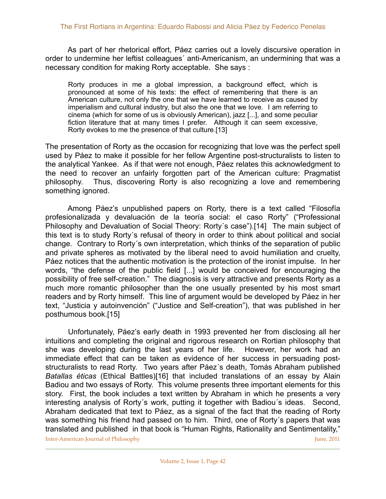As part of her rhetorical effort, Páez carries out a lovely discursive operation in order to undermine her leftist colleagues´ anti-Americanism, an undermining that was a necessary condition for making Rorty acceptable. She says :

Rorty produces in me a global impression, a background effect, which is pronounced at some of his texts: the effect of remembering that there is an American culture, not only the one that we have learned to receive as caused by imperialism and cultural industry, but also the one that we love. I am referring to cinema (which for some of us is obviously American), jazz [...], and some peculiar fiction literature that at many times I prefer. Although it can seem excessive, Rorty evokes to me the presence of that culture.[13]

The presentation of Rorty as the occasion for recognizing that love was the perfect spell used by Páez to make it possible for her fellow Argentine post-structuralists to listen to the analytical Yankee. As if that were not enough, Páez relates this acknowledgment to the need to recover an unfairly forgotten part of the American culture: Pragmatist philosophy. Thus, discovering Rorty is also recognizing a love and remembering something ignored.

 Among Páez's unpublished papers on Rorty, there is a text called "Filosofía profesionalizada y devaluación de la teoría social: el caso Rorty" ("Professional Philosophy and Devaluation of Social Theory: Rorty´s case").[14] The main subject of this text is to study Rorty´s refusal of theory in order to think about political and social change. Contrary to Rorty´s own interpretation, which thinks of the separation of public and private spheres as motivated by the liberal need to avoid humiliation and cruelty, Páez notices that the authentic motivation is the protection of the ironist impulse. In her words, "the defense of the public field [...] would be conceived for encouraging the possibility of free self-creation." The diagnosis is very attractive and presents Rorty as a much more romantic philosopher than the one usually presented by his most smart readers and by Rorty himself. This line of argument would be developed by Páez in her text, "Justicia y autoinvención" ("Justice and Self-creation"), that was published in her posthumous book.[15]

 Unfortunately, Páez's early death in 1993 prevented her from disclosing all her intuitions and completing the original and rigorous research on Rortian philosophy that she was developing during the last years of her life. However, her work had an immediate effect that can be taken as evidence of her success in persuading poststructuralists to read Rorty. Two years after Páez´s death, Tomás Abraham published *Batallas éticas* (Ethical Battles)[16] that included translations of an essay by Alain Badiou and two essays of Rorty. This volume presents three important elements for this story. First, the book includes a text written by Abraham in which he presents a very interesting analysis of Rorty´s work, putting it together with Badiou´s ideas. Second, Abraham dedicated that text to Páez, as a signal of the fact that the reading of Rorty was something his friend had passed on to him. Third, one of Rorty´s papers that was translated and published in that book is "Human Rights, Rationality and Sentimentality,"

Inter-American Journal of Philosophy *Inter-American Journal of Philosophy June, 2011*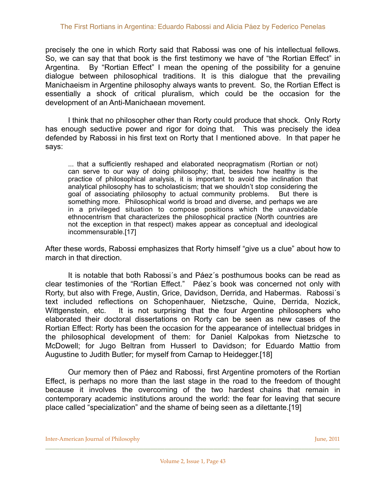precisely the one in which Rorty said that Rabossi was one of his intellectual fellows. So, we can say that that book is the first testimony we have of "the Rortian Effect" in Argentina. By "Rortian Effect" I mean the opening of the possibility for a genuine dialogue between philosophical traditions. It is this dialogue that the prevailing Manichaeism in Argentine philosophy always wants to prevent. So, the Rortian Effect is essentially a shock of critical pluralism, which could be the occasion for the development of an Anti-Manichaean movement.

 I think that no philosopher other than Rorty could produce that shock. Only Rorty has enough seductive power and rigor for doing that. This was precisely the idea defended by Rabossi in his first text on Rorty that I mentioned above. In that paper he says:

... that a sufficiently reshaped and elaborated neopragmatism (Rortian or not) can serve to our way of doing philosophy; that, besides how healthy is the practice of philosophical analysis, it is important to avoid the inclination that analytical philosophy has to scholasticism; that we shouldn't stop considering the goal of associating philosophy to actual community problems. But there is something more. Philosophical world is broad and diverse, and perhaps we are in a privileged situation to compose positions which the unavoidable ethnocentrism that characterizes the philosophical practice (North countries are not the exception in that respect) makes appear as conceptual and ideological incommensurable.[17]

After these words, Rabossi emphasizes that Rorty himself "give us a clue" about how to march in that direction.

 It is notable that both Rabossi´s and Páez´s posthumous books can be read as clear testimonies of the "Rortian Effect." Páez´s book was concerned not only with Rorty, but also with Frege, Austin, Grice, Davidson, Derrida, and Habermas. Rabossi´s text included reflections on Schopenhauer, Nietzsche, Quine, Derrida, Nozick, Wittgenstein, etc. It is not surprising that the four Argentine philosophers who elaborated their doctoral dissertations on Rorty can be seen as new cases of the Rortian Effect: Rorty has been the occasion for the appearance of intellectual bridges in the philosophical development of them: for Daniel Kalpokas from Nietzsche to McDowell; for Jugo Beltran from Husserl to Davidson; for Eduardo Mattio from Augustine to Judith Butler; for myself from Carnap to Heidegger.[18]

 Our memory then of Páez and Rabossi, first Argentine promoters of the Rortian Effect, is perhaps no more than the last stage in the road to the freedom of thought because it involves the overcoming of the two hardest chains that remain in contemporary academic institutions around the world: the fear for leaving that secure place called "specialization" and the shame of being seen as a dilettante.[19]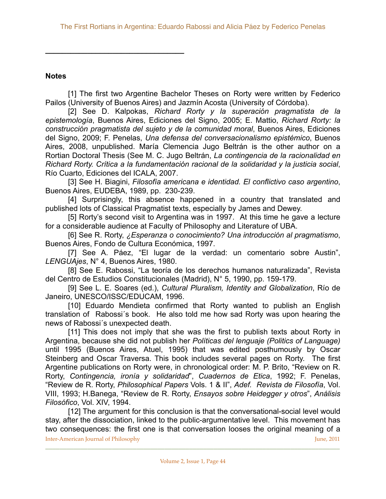### **Notes**

**\_\_\_\_\_\_\_\_\_\_\_\_\_\_\_\_\_\_\_\_\_\_\_\_\_\_\_\_\_\_\_\_\_**

 [1] The first two Argentine Bachelor Theses on Rorty were written by Federico Pailos (University of Buenos Aires) and Jazmín Acosta (University of Córdoba).

 [2] See D. Kalpokas, *Richard Rorty y la superación pragmatista de la epistemología*, Buenos Aires, Ediciones del Signo, 2005; E. Mattio, *Richard Rorty: la construcción pragmatista del sujeto y de la comunidad moral*, Buenos Aires, Ediciones del Signo, 2009; F. Penelas, *Una defensa del conversacionalismo epistémico*, Buenos Aires, 2008, unpublished. María Clemencia Jugo Beltrán is the other author on a Rortian Doctoral Thesis (See M. C. Jugo Beltrán, *La contingencia de la racionalidad en Richard Rorty. Crítica a la fundamentación racional de la solidaridad y la justicia social*, Río Cuarto, Ediciones del ICALA, 2007.

 [3] See H. Biagini, *Filosofía americana e identidad. El conflictivo caso argentino*, Buenos Aires, EUDEBA, 1989, pp. 230-239.

 [4] Surprisingly, this absence happened in a country that translated and published lots of Classical Pragmatist texts, especially by James and Dewey.

 [5] Rorty's second visit to Argentina was in 1997. At this time he gave a lecture for a considerable audience at Faculty of Philosophy and Literature of UBA.

 [6] See R. Rorty, *¿Esperanza o conocimiento? Una introducción al pragmatismo*, Buenos Aires, Fondo de Cultura Económica, 1997.

 [7] See A. Páez, "El lugar de la verdad: un comentario sobre Austin", *LENGUAjes*, N° 4, Buenos Aires, 1980.

 [8] See E. Rabossi, "La teoría de los derechos humanos naturalizada", Revista del Centro de Estudios Constitucionales (Madrid), N° 5, 1990, pp. 159-179.

 [9] See L. E. Soares (ed.), *Cultural Pluralism, Identity and Globalization*, Río de Janeiro, UNESCO/ISSC/EDUCAM, 1996.

[10] Eduardo Mendieta confirmed that Rorty wanted to publish an English translation of Rabossi´s book. He also told me how sad Rorty was upon hearing the news of Rabossi´s unexpected death.

 [11] This does not imply that she was the first to publish texts about Rorty in Argentina, because she did not publish her *Políticas del lenguaje (Politics of Language)*  until 1995 (Buenos Aires, Atuel, 1995) that was edited posthumously by Oscar Steinberg and Oscar Traversa. This book includes several pages on Rorty. The first Argentine publications on Rorty were, in chronological order: M. P. Brito, "Review on R. Rorty, *Contingencia, ironía y solidaridad*", *Cuadernos de Etica*, 1992; F. Penelas, "Review de R. Rorty, *Philosophical Papers* Vols. 1 & II", *Adef. Revista de Filosofía*, Vol. VIII, 1993; H.Banega, "Review de R. Rorty, *Ensayos sobre Heidegger y otros*", *Análisis Filosófico*, Vol. XIV, 1994.

 [12] The argument for this conclusion is that the conversational-social level would stay, after the dissociation, linked to the public-argumentative level. This movement has two consequences: the first one is that conversation looses the original meaning of a Inter-American Journal of Philosophy *Inter-American Journal of Philosophy June, 2011*